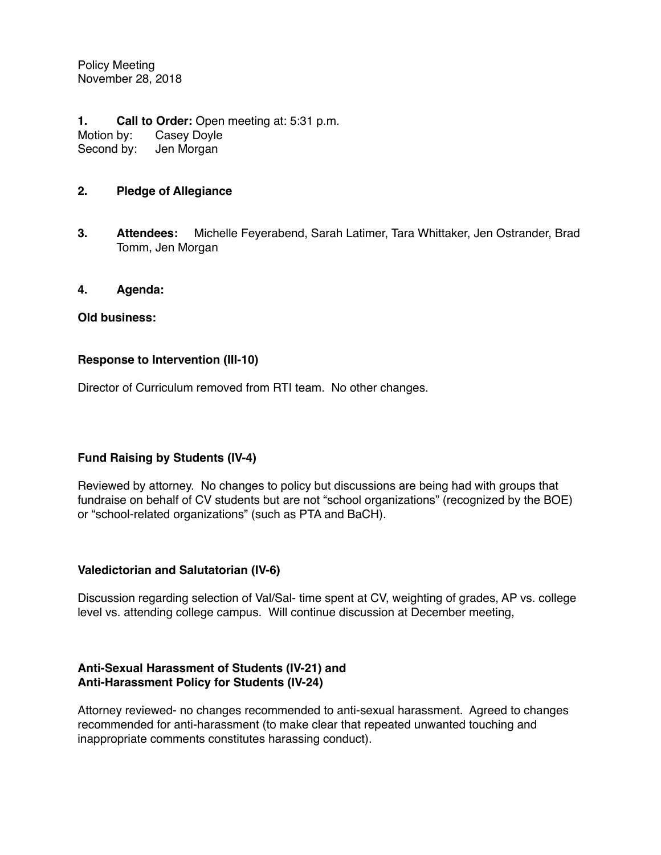Policy Meeting November 28, 2018

**1. Call to Order:** Open meeting at: 5:31 p.m. Motion by: Casey Doyle Second by: Jen Morgan

## **2. Pledge of Allegiance**

**3. Attendees:** Michelle Feyerabend, Sarah Latimer, Tara Whittaker, Jen Ostrander, Brad Tomm, Jen Morgan

#### **4. Agenda:**

#### **Old business:**

#### **Response to Intervention (III-10)**

Director of Curriculum removed from RTI team. No other changes.

# **Fund Raising by Students (IV-4)**

Reviewed by attorney. No changes to policy but discussions are being had with groups that fundraise on behalf of CV students but are not "school organizations" (recognized by the BOE) or "school-related organizations" (such as PTA and BaCH).

#### **Valedictorian and Salutatorian (IV-6)**

Discussion regarding selection of Val/Sal- time spent at CV, weighting of grades, AP vs. college level vs. attending college campus. Will continue discussion at December meeting,

#### **Anti-Sexual Harassment of Students (IV-21) and Anti-Harassment Policy for Students (IV-24)**

Attorney reviewed- no changes recommended to anti-sexual harassment. Agreed to changes recommended for anti-harassment (to make clear that repeated unwanted touching and inappropriate comments constitutes harassing conduct).